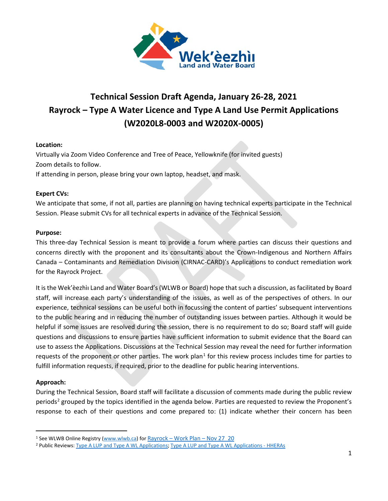

# **Technical Session Draft Agenda, January 26-28, 2021 Rayrock – Type A Water Licence and Type A Land Use Permit Applications (W2020L8-0003 and W2020X-0005)**

# **Location:**

Virtually via Zoom Video Conference and Tree of Peace, Yellowknife (for invited guests) Zoom details to follow. If attending in person, please bring your own laptop, headset, and mask.

# **Expert CVs:**

We anticipate that some, if not all, parties are planning on having technical experts participate in the Technical Session. Please submit CVs for all technical experts in advance of the Technical Session.

#### **Purpose:**

This three-day Technical Session is meant to provide a forum where parties can discuss their questions and concerns directly with the proponent and its consultants about the Crown-Indigenous and Northern Affairs Canada – Contaminants and Remediation Division (CIRNAC-CARD)'s Applications to conduct remediation work for the Rayrock Project.

It is the Wek'èezhìı Land and Water Board's(WLWB or Board) hope that such a discussion, as facilitated by Board staff, will increase each party's understanding of the issues, as well as of the perspectives of others. In our experience, technical sessions can be useful both in focussing the content of parties' subsequent interventions to the public hearing and in reducing the number of outstanding issues between parties. Although it would be helpful if some issues are resolved during the session, there is no requirement to do so; Board staff will guide questions and discussions to ensure parties have sufficient information to submit evidence that the Board can use to assess the Applications. Discussions at the Technical Session may reveal the need for further information requests of the proponent or other parties. The work plan<sup>[1](#page-0-0)</sup> for this review process includes time for parties to fulfill information requests, if required, prior to the deadline for public hearing interventions.

# **Approach:**

During the Technical Session, Board staff will facilitate a discussion of comments made during the public review periods<sup>[2](#page-0-1)</sup> grouped by the topics identified in the agenda below. Parties are requested to review the Proponent's response to each of their questions and come prepared to: (1) indicate whether their concern has been

<span id="page-0-0"></span><sup>1</sup> See WLWB Online Registry [\(www.wlwb.ca\)](http://www.wlwb.ca/) for Rayrock – [Work Plan –](http://registry.mvlwb.ca/Documents/W2020L8-0003/Rayrock%20-%20Work%20Plan%20-%20Nov%2027_20.pdf) Nov 27\_20

<span id="page-0-1"></span><sup>2</sup> Public Reviews: [Type A LUP and Type A WL Applications;](http://lwbors.yk.com/LWB_IMS/ReviewComment.aspx?appid=13077) [Type A LUP and Type A WL Applications -](http://lwbors.yk.com/LWB_IMS/ReviewComment.aspx?appid=13120) HHERAs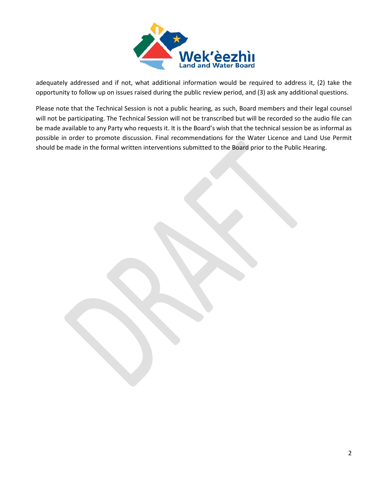

adequately addressed and if not, what additional information would be required to address it, (2) take the opportunity to follow up on issues raised during the public review period, and (3) ask any additional questions.

Please note that the Technical Session is not a public hearing, as such, Board members and their legal counsel will not be participating. The Technical Session will not be transcribed but will be recorded so the audio file can be made available to any Party who requests it. It is the Board's wish that the technical session be as informal as possible in order to promote discussion. Final recommendations for the Water Licence and Land Use Permit should be made in the formal written interventions submitted to the Board prior to the Public Hearing.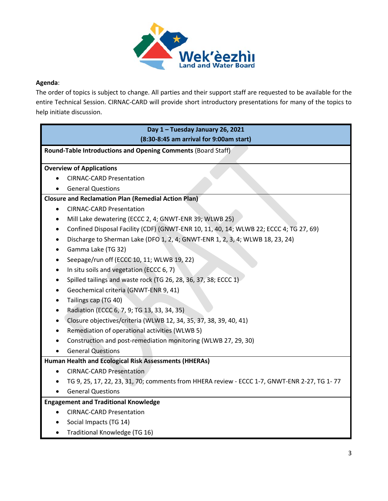

# **Agenda**:

The order of topics is subject to change. All parties and their support staff are requested to be available for the entire Technical Session. CIRNAC-CARD will provide short introductory presentations for many of the topics to help initiate discussion.

| Day 1 - Tuesday January 26, 2021                                                                 |
|--------------------------------------------------------------------------------------------------|
| (8:30-8:45 am arrival for 9:00am start)                                                          |
| <b>Round-Table Introductions and Opening Comments (Board Staff)</b>                              |
|                                                                                                  |
| <b>Overview of Applications</b>                                                                  |
| <b>CIRNAC-CARD Presentation</b>                                                                  |
| <b>General Questions</b>                                                                         |
| <b>Closure and Reclamation Plan (Remedial Action Plan)</b>                                       |
| <b>CIRNAC-CARD Presentation</b>                                                                  |
| Mill Lake dewatering (ECCC 2, 4; GNWT-ENR 39; WLWB 25)                                           |
| Confined Disposal Facility (CDF) (GNWT-ENR 10, 11, 40, 14; WLWB 22; ECCC 4; TG 27, 69)           |
| Discharge to Sherman Lake (DFO 1, 2, 4; GNWT-ENR 1, 2, 3, 4; WLWB 18, 23, 24)                    |
| Gamma Lake (TG 32)<br>٠                                                                          |
| Seepage/run off (ECCC 10, 11; WLWB 19, 22)                                                       |
| In situ soils and vegetation (ECCC 6, 7)                                                         |
| Spilled tailings and waste rock (TG 26, 28, 36, 37, 38; ECCC 1)<br>$\bullet$                     |
| Geochemical criteria (GNWT-ENR 9, 41)                                                            |
| Tailings cap (TG 40)                                                                             |
| Radiation (ECCC 6, 7, 9; TG 13, 33, 34, 35)                                                      |
| Closure objectives/criteria (WLWB 12, 34, 35, 37, 38, 39, 40, 41)                                |
| Remediation of operational activities (WLWB 5)                                                   |
| Construction and post-remediation monitoring (WLWB 27, 29, 30)                                   |
| <b>General Questions</b>                                                                         |
| Human Health and Ecological Risk Assessments (HHERAs)                                            |
| <b>CIRNAC-CARD Presentation</b>                                                                  |
| TG 9, 25, 17, 22, 23, 31, 70; comments from HHERA review - ECCC 1-7, GNWT-ENR 2-27, TG 1-77<br>٠ |
| <b>General Questions</b>                                                                         |
| <b>Engagement and Traditional Knowledge</b>                                                      |
| <b>CIRNAC-CARD Presentation</b>                                                                  |
| Social Impacts (TG 14)                                                                           |
| Traditional Knowledge (TG 16)<br>٠                                                               |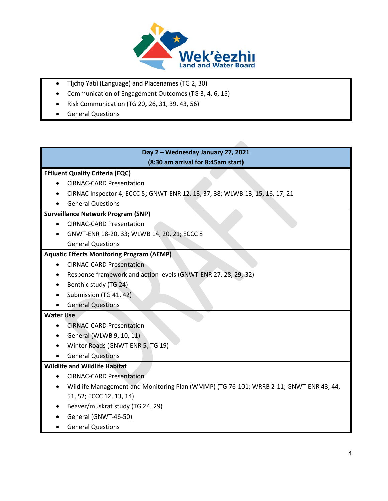

- Tłıcho Yatıì (Language) and Placenames (TG 2, 30)
- Communication of Engagement Outcomes (TG 3, 4, 6, 15)
- Risk Communication (TG 20, 26, 31, 39, 43, 56)
- General Questions

**Day 2 – Wednesday January 27, 2021 (8:30 am arrival for 8:45am start)**

#### **Effluent Quality Criteria (EQC)**

- CIRNAC-CARD Presentation
- CIRNAC Inspector 4; ECCC 5; GNWT-ENR 12, 13, 37, 38; WLWB 13, 15, 16, 17, 21
- General Questions

#### **Surveillance Network Program (SNP)**

- CIRNAC-CARD Presentation
- GNWT-ENR 18-20, 33; WLWB 14, 20, 21; ECCC 8 General Questions

### **Aquatic Effects Monitoring Program (AEMP)**

- CIRNAC-CARD Presentation
- Response framework and action levels (GNWT-ENR 27, 28, 29, 32)
- Benthic study (TG 24)
- Submission (TG 41, 42)
- General Questions

#### **Water Use**

- CIRNAC-CARD Presentation
- General (WLWB 9, 10, 11)
- Winter Roads (GNWT-ENR 5, TG 19)
- General Questions

#### **Wildlife and Wildlife Habitat**

- CIRNAC-CARD Presentation
- Wildlife Management and Monitoring Plan (WMMP) (TG 76-101; WRRB 2-11; GNWT-ENR 43, 44, 51, 52; ECCC 12, 13, 14)
- Beaver/muskrat study (TG 24, 29)
- General (GNWT-46-50)
- General Questions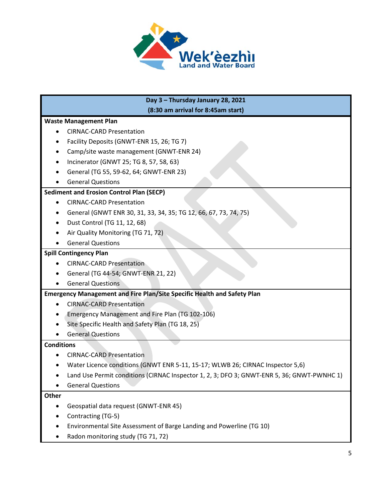

# **Day 3 – Thursday January 28, 2021 (8:30 am arrival for 8:45am start) Waste Management Plan** • CIRNAC-CARD Presentation • Facility Deposits (GNWT-ENR 15, 26; TG 7) • Camp/site waste management (GNWT-ENR 24) • Incinerator (GNWT 25; TG 8, 57, 58, 63) • General (TG 55, 59-62, 64; GNWT-ENR 23) • General Questions **Sediment and Erosion Control Plan (SECP)** • CIRNAC-CARD Presentation • General (GNWT ENR 30, 31, 33, 34, 35; TG 12, 66, 67, 73, 74, 75) • Dust Control (TG 11, 12, 68) • Air Quality Monitoring (TG 71, 72) • General Questions **Spill Contingency Plan** • CIRNAC-CARD Presentation • General (TG 44-54; GNWT-ENR 21, 22) • General Questions **Emergency Management and Fire Plan/Site Specific Health and Safety Plan** • CIRNAC-CARD Presentation • Emergency Management and Fire Plan (TG 102-106) • Site Specific Health and Safety Plan (TG 18, 25) • General Questions **Conditions** • CIRNAC-CARD Presentation • Water Licence conditions (GNWT ENR 5-11, 15-17; WLWB 26; CIRNAC Inspector 5,6) • Land Use Permit conditions (CIRNAC Inspector 1, 2, 3; DFO 3; GNWT-ENR 5, 36; GNWT-PWNHC 1) • General Questions **Other** • Geospatial data request (GNWT-ENR 45) • Contracting (TG-5) • Environmental Site Assessment of Barge Landing and Powerline (TG 10)

• Radon monitoring study (TG 71, 72)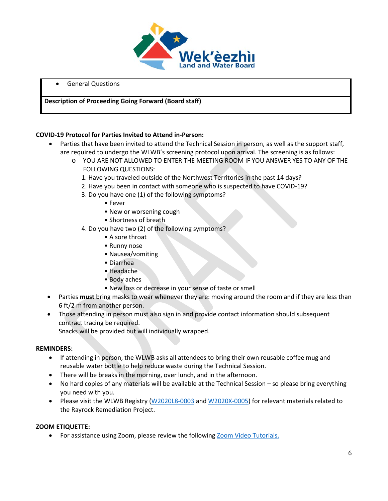

• General Questions

#### **Description of Proceeding Going Forward (Board staff)**

#### **COVID-19 Protocol for Parties Invited to Attend in-Person:**

- Parties that have been invited to attend the Technical Session in person, as well as the support staff, are required to undergo the WLWB's screening protocol upon arrival. The screening is as follows:
	- o YOU ARE NOT ALLOWED TO ENTER THE MEETING ROOM IF YOU ANSWER YES TO ANY OF THE FOLLOWING QUESTIONS:
		- 1. Have you traveled outside of the Northwest Territories in the past 14 days?
		- 2. Have you been in contact with someone who is suspected to have COVID-19?
		- 3. Do you have one (1) of the following symptoms?
			- Fever
			- New or worsening cough
			- Shortness of breath
		- 4. Do you have two (2) of the following symptoms?
			- A sore throat
			- Runny nose
			- Nausea/vomiting
			- Diarrhea
			- Headache
			- Body aches
			- New loss or decrease in your sense of taste or smell
- Parties **must** bring masks to wear whenever they are: moving around the room and if they are less than 6 ft/2 m from another person.
- Those attending in person must also sign in and provide contact information should subsequent contract tracing be required.

Snacks will be provided but will individually wrapped.

#### **REMINDERS:**

- If attending in person, the WLWB asks all attendees to bring their own reusable coffee mug and reusable water bottle to help reduce waste during the Technical Session.
- There will be breaks in the morning, over lunch, and in the afternoon.
- No hard copies of any materials will be available at the Technical Session so please bring everything you need with you.
- Please visit the WLWB Registry [\(W2020L8-0003](https://mvlwb.com/registry/W2020L8-0003) and [W2020X-0005\)](https://mvlwb.com/registry/W2020X0005) for relevant materials related to the Rayrock Remediation Project.

#### **ZOOM ETIQUETTE:**

• For assistance using Zoom, please review the followin[g Zoom Video](https://support.zoom.us/hc/en-us/articles/206618765-Zoom-Video-Tutorials) Tutorials.